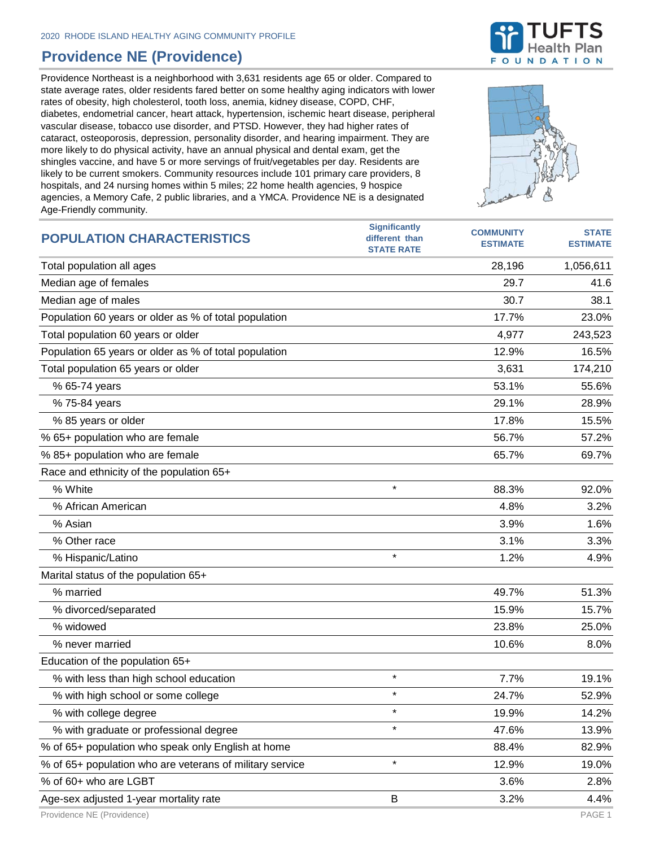## **Providence NE (Providence)**

Providence Northeast is a neighborhood with 3,631 residents age 65 or older. Compared to state average rates, older residents fared better on some healthy aging indicators with lower rates of obesity, high cholesterol, tooth loss, anemia, kidney disease, COPD, CHF, diabetes, endometrial cancer, heart attack, hypertension, ischemic heart disease, peripheral vascular disease, tobacco use disorder, and PTSD. However, they had higher rates of cataract, osteoporosis, depression, personality disorder, and hearing impairment. They are more likely to do physical activity, have an annual physical and dental exam, get the shingles vaccine, and have 5 or more servings of fruit/vegetables per day. Residents are likely to be current smokers. Community resources include 101 primary care providers, 8 hospitals, and 24 nursing homes within 5 miles; 22 home health agencies, 9 hospice agencies, a Memory Cafe, 2 public libraries, and a YMCA. Providence NE is a designated Age-Friendly community.



| $1.90$ . The fight committed in $\gamma$ .               |                                                             |                                     |                                 |
|----------------------------------------------------------|-------------------------------------------------------------|-------------------------------------|---------------------------------|
| <b>POPULATION CHARACTERISTICS</b>                        | <b>Significantly</b><br>different than<br><b>STATE RATE</b> | <b>COMMUNITY</b><br><b>ESTIMATE</b> | <b>STATE</b><br><b>ESTIMATE</b> |
| Total population all ages                                |                                                             | 28,196                              | 1,056,611                       |
| Median age of females                                    |                                                             | 29.7                                | 41.6                            |
| Median age of males                                      |                                                             | 30.7                                | 38.1                            |
| Population 60 years or older as % of total population    |                                                             | 17.7%                               | 23.0%                           |
| Total population 60 years or older                       |                                                             | 4,977                               | 243,523                         |
| Population 65 years or older as % of total population    |                                                             | 12.9%                               | 16.5%                           |
| Total population 65 years or older                       |                                                             | 3,631                               | 174,210                         |
| % 65-74 years                                            |                                                             | 53.1%                               | 55.6%                           |
| % 75-84 years                                            |                                                             | 29.1%                               | 28.9%                           |
| % 85 years or older                                      |                                                             | 17.8%                               | 15.5%                           |
| % 65+ population who are female                          |                                                             | 56.7%                               | 57.2%                           |
| % 85+ population who are female                          |                                                             | 65.7%                               | 69.7%                           |
| Race and ethnicity of the population 65+                 |                                                             |                                     |                                 |
| % White                                                  | $\star$                                                     | 88.3%                               | 92.0%                           |
| % African American                                       |                                                             | 4.8%                                | 3.2%                            |
| % Asian                                                  |                                                             | 3.9%                                | 1.6%                            |
| % Other race                                             |                                                             | 3.1%                                | 3.3%                            |
| % Hispanic/Latino                                        | $\star$                                                     | 1.2%                                | 4.9%                            |
| Marital status of the population 65+                     |                                                             |                                     |                                 |
| % married                                                |                                                             | 49.7%                               | 51.3%                           |
| % divorced/separated                                     |                                                             | 15.9%                               | 15.7%                           |
| % widowed                                                |                                                             | 23.8%                               | 25.0%                           |
| % never married                                          |                                                             | 10.6%                               | 8.0%                            |
| Education of the population 65+                          |                                                             |                                     |                                 |
| % with less than high school education                   | $\star$                                                     | 7.7%                                | 19.1%                           |
| % with high school or some college                       |                                                             | 24.7%                               | 52.9%                           |
| % with college degree                                    | $\star$                                                     | 19.9%                               | 14.2%                           |
| % with graduate or professional degree                   | $\star$                                                     | 47.6%                               | 13.9%                           |
| % of 65+ population who speak only English at home       |                                                             | 88.4%                               | 82.9%                           |
| % of 65+ population who are veterans of military service | $\star$                                                     | 12.9%                               | 19.0%                           |
| % of 60+ who are LGBT                                    |                                                             | 3.6%                                | 2.8%                            |
| Age-sex adjusted 1-year mortality rate                   | B                                                           | 3.2%                                | 4.4%                            |

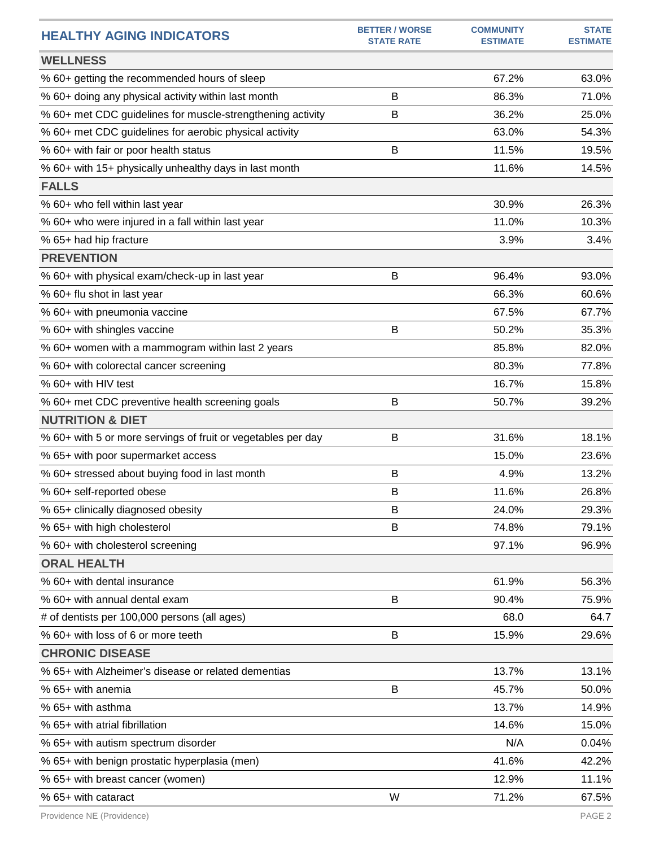| <b>HEALTHY AGING INDICATORS</b>                              | <b>BETTER / WORSE</b><br><b>STATE RATE</b> | <b>COMMUNITY</b><br><b>ESTIMATE</b> | <b>STATE</b><br><b>ESTIMATE</b> |
|--------------------------------------------------------------|--------------------------------------------|-------------------------------------|---------------------------------|
| <b>WELLNESS</b>                                              |                                            |                                     |                                 |
| % 60+ getting the recommended hours of sleep                 |                                            | 67.2%                               | 63.0%                           |
| % 60+ doing any physical activity within last month          | B                                          | 86.3%                               | 71.0%                           |
| % 60+ met CDC guidelines for muscle-strengthening activity   | B                                          | 36.2%                               | 25.0%                           |
| % 60+ met CDC guidelines for aerobic physical activity       |                                            | 63.0%                               | 54.3%                           |
| % 60+ with fair or poor health status                        | Β                                          | 11.5%                               | 19.5%                           |
| % 60+ with 15+ physically unhealthy days in last month       |                                            | 11.6%                               | 14.5%                           |
| <b>FALLS</b>                                                 |                                            |                                     |                                 |
| % 60+ who fell within last year                              |                                            | 30.9%                               | 26.3%                           |
| % 60+ who were injured in a fall within last year            |                                            | 11.0%                               | 10.3%                           |
| % 65+ had hip fracture                                       |                                            | 3.9%                                | 3.4%                            |
| <b>PREVENTION</b>                                            |                                            |                                     |                                 |
| % 60+ with physical exam/check-up in last year               | B                                          | 96.4%                               | 93.0%                           |
| % 60+ flu shot in last year                                  |                                            | 66.3%                               | 60.6%                           |
| % 60+ with pneumonia vaccine                                 |                                            | 67.5%                               | 67.7%                           |
| % 60+ with shingles vaccine                                  | В                                          | 50.2%                               | 35.3%                           |
| % 60+ women with a mammogram within last 2 years             |                                            | 85.8%                               | 82.0%                           |
| % 60+ with colorectal cancer screening                       |                                            | 80.3%                               | 77.8%                           |
| % 60+ with HIV test                                          |                                            | 16.7%                               | 15.8%                           |
| % 60+ met CDC preventive health screening goals              | B                                          | 50.7%                               | 39.2%                           |
| <b>NUTRITION &amp; DIET</b>                                  |                                            |                                     |                                 |
| % 60+ with 5 or more servings of fruit or vegetables per day | B                                          | 31.6%                               | 18.1%                           |
| % 65+ with poor supermarket access                           |                                            | 15.0%                               | 23.6%                           |
| % 60+ stressed about buying food in last month               | B                                          | 4.9%                                | 13.2%                           |
| % 60+ self-reported obese                                    | B                                          | 11.6%                               | 26.8%                           |
| % 65+ clinically diagnosed obesity                           | В                                          | 24.0%                               | 29.3%                           |
| % 65+ with high cholesterol                                  | B                                          | 74.8%                               | 79.1%                           |
| % 60+ with cholesterol screening                             |                                            | 97.1%                               | 96.9%                           |
| <b>ORAL HEALTH</b>                                           |                                            |                                     |                                 |
| % 60+ with dental insurance                                  |                                            | 61.9%                               | 56.3%                           |
| % 60+ with annual dental exam                                | В                                          | 90.4%                               | 75.9%                           |
| # of dentists per 100,000 persons (all ages)                 |                                            | 68.0                                | 64.7                            |
| % 60+ with loss of 6 or more teeth                           | B                                          | 15.9%                               | 29.6%                           |
| <b>CHRONIC DISEASE</b>                                       |                                            |                                     |                                 |
| % 65+ with Alzheimer's disease or related dementias          |                                            | 13.7%                               | 13.1%                           |
| % 65+ with anemia                                            | Β                                          | 45.7%                               | 50.0%                           |
| % 65+ with asthma                                            |                                            | 13.7%                               | 14.9%                           |
| % 65+ with atrial fibrillation                               |                                            | 14.6%                               | 15.0%                           |
| % 65+ with autism spectrum disorder                          |                                            | N/A                                 | 0.04%                           |
| % 65+ with benign prostatic hyperplasia (men)                |                                            | 41.6%                               | 42.2%                           |
| % 65+ with breast cancer (women)                             |                                            | 12.9%                               | 11.1%                           |
| % 65+ with cataract                                          | W                                          | 71.2%                               | 67.5%                           |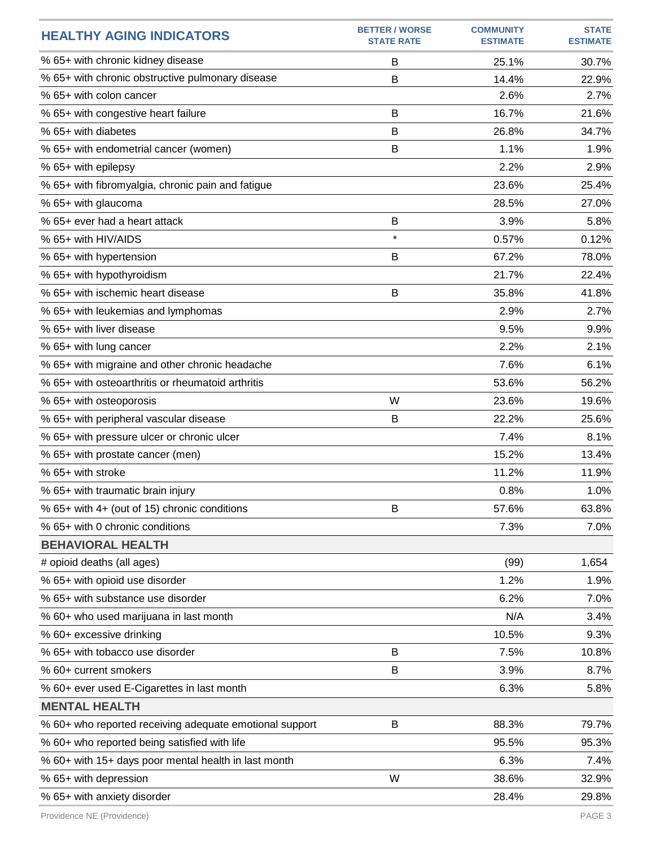| <b>HEALTHY AGING INDICATORS</b>                         | <b>BETTER / WORSE</b><br><b>STATE RATE</b> | <b>COMMUNITY</b><br><b>ESTIMATE</b> | <b>STATE</b><br><b>ESTIMATE</b> |
|---------------------------------------------------------|--------------------------------------------|-------------------------------------|---------------------------------|
| % 65+ with chronic kidney disease                       | B                                          | 25.1%                               | 30.7%                           |
| % 65+ with chronic obstructive pulmonary disease        | B                                          | 14.4%                               | 22.9%                           |
| % 65+ with colon cancer                                 |                                            | 2.6%                                | 2.7%                            |
| % 65+ with congestive heart failure                     | B                                          | 16.7%                               | 21.6%                           |
| % 65+ with diabetes                                     | B                                          | 26.8%                               | 34.7%                           |
| % 65+ with endometrial cancer (women)                   | B                                          | 1.1%                                | 1.9%                            |
| % 65+ with epilepsy                                     |                                            | 2.2%                                | 2.9%                            |
| % 65+ with fibromyalgia, chronic pain and fatigue       |                                            | 23.6%                               | 25.4%                           |
| % 65+ with glaucoma                                     |                                            | 28.5%                               | 27.0%                           |
| % 65+ ever had a heart attack                           | B                                          | 3.9%                                | 5.8%                            |
| % 65+ with HIV/AIDS                                     | $\star$                                    | 0.57%                               | 0.12%                           |
| % 65+ with hypertension                                 | B                                          | 67.2%                               | 78.0%                           |
| % 65+ with hypothyroidism                               |                                            | 21.7%                               | 22.4%                           |
| % 65+ with ischemic heart disease                       | B                                          | 35.8%                               | 41.8%                           |
| % 65+ with leukemias and lymphomas                      |                                            | 2.9%                                | 2.7%                            |
| % 65+ with liver disease                                |                                            | 9.5%                                | 9.9%                            |
| % 65+ with lung cancer                                  |                                            | 2.2%                                | 2.1%                            |
| % 65+ with migraine and other chronic headache          |                                            | 7.6%                                | 6.1%                            |
| % 65+ with osteoarthritis or rheumatoid arthritis       |                                            | 53.6%                               | 56.2%                           |
| % 65+ with osteoporosis                                 | W                                          | 23.6%                               | 19.6%                           |
| % 65+ with peripheral vascular disease                  | B                                          | 22.2%                               | 25.6%                           |
| % 65+ with pressure ulcer or chronic ulcer              |                                            | 7.4%                                | 8.1%                            |
| % 65+ with prostate cancer (men)                        |                                            | 15.2%                               | 13.4%                           |
| % 65+ with stroke                                       |                                            | 11.2%                               | 11.9%                           |
| % 65+ with traumatic brain injury                       |                                            | 0.8%                                | 1.0%                            |
| % 65+ with 4+ (out of 15) chronic conditions            | B                                          | 57.6%                               | 63.8%                           |
| % 65+ with 0 chronic conditions                         |                                            | 7.3%                                | 7.0%                            |
| <b>BEHAVIORAL HEALTH</b>                                |                                            |                                     |                                 |
| # opioid deaths (all ages)                              |                                            | (99)                                | 1,654                           |
| % 65+ with opioid use disorder                          |                                            | 1.2%                                | 1.9%                            |
| % 65+ with substance use disorder                       |                                            | 6.2%                                | 7.0%                            |
| % 60+ who used marijuana in last month                  |                                            | N/A                                 | 3.4%                            |
| % 60+ excessive drinking                                |                                            | 10.5%                               | 9.3%                            |
| % 65+ with tobacco use disorder                         | B                                          | 7.5%                                | 10.8%                           |
| % 60+ current smokers                                   | B                                          | 3.9%                                | 8.7%                            |
| % 60+ ever used E-Cigarettes in last month              |                                            | 6.3%                                | 5.8%                            |
| <b>MENTAL HEALTH</b>                                    |                                            |                                     |                                 |
| % 60+ who reported receiving adequate emotional support | B                                          | 88.3%                               | 79.7%                           |
| % 60+ who reported being satisfied with life            |                                            | 95.5%                               | 95.3%                           |
| % 60+ with 15+ days poor mental health in last month    |                                            | 6.3%                                | 7.4%                            |
| % 65+ with depression                                   | W                                          | 38.6%                               | 32.9%                           |
| % 65+ with anxiety disorder                             |                                            | 28.4%                               | 29.8%                           |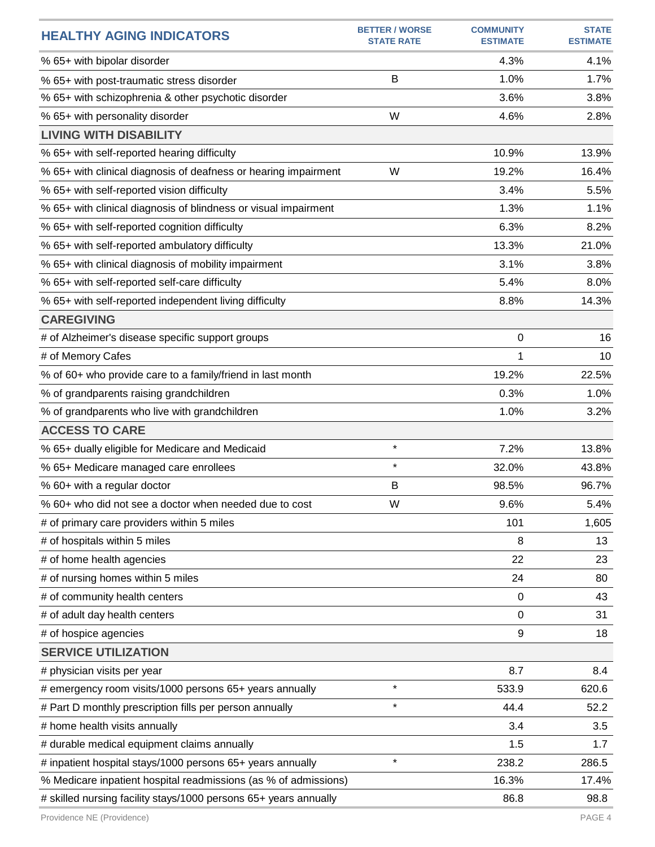| <b>HEALTHY AGING INDICATORS</b>                                  | <b>BETTER / WORSE</b><br><b>STATE RATE</b> | <b>COMMUNITY</b><br><b>ESTIMATE</b> | <b>STATE</b><br><b>ESTIMATE</b> |
|------------------------------------------------------------------|--------------------------------------------|-------------------------------------|---------------------------------|
| % 65+ with bipolar disorder                                      |                                            | 4.3%                                | 4.1%                            |
| % 65+ with post-traumatic stress disorder                        | B                                          | 1.0%                                | 1.7%                            |
| % 65+ with schizophrenia & other psychotic disorder              |                                            | 3.6%                                | 3.8%                            |
| % 65+ with personality disorder                                  | W                                          | 4.6%                                | 2.8%                            |
| <b>LIVING WITH DISABILITY</b>                                    |                                            |                                     |                                 |
| % 65+ with self-reported hearing difficulty                      |                                            | 10.9%                               | 13.9%                           |
| % 65+ with clinical diagnosis of deafness or hearing impairment  | W                                          | 19.2%                               | 16.4%                           |
| % 65+ with self-reported vision difficulty                       |                                            | 3.4%                                | 5.5%                            |
| % 65+ with clinical diagnosis of blindness or visual impairment  |                                            | 1.3%                                | 1.1%                            |
| % 65+ with self-reported cognition difficulty                    |                                            | 6.3%                                | 8.2%                            |
| % 65+ with self-reported ambulatory difficulty                   |                                            | 13.3%                               | 21.0%                           |
| % 65+ with clinical diagnosis of mobility impairment             |                                            | 3.1%                                | 3.8%                            |
| % 65+ with self-reported self-care difficulty                    |                                            | 5.4%                                | 8.0%                            |
| % 65+ with self-reported independent living difficulty           |                                            | 8.8%                                | 14.3%                           |
| <b>CAREGIVING</b>                                                |                                            |                                     |                                 |
| # of Alzheimer's disease specific support groups                 |                                            | 0                                   | 16                              |
| # of Memory Cafes                                                |                                            | 1                                   | 10                              |
| % of 60+ who provide care to a family/friend in last month       |                                            | 19.2%                               | 22.5%                           |
| % of grandparents raising grandchildren                          |                                            | 0.3%                                | 1.0%                            |
| % of grandparents who live with grandchildren                    |                                            | 1.0%                                | 3.2%                            |
| <b>ACCESS TO CARE</b>                                            |                                            |                                     |                                 |
| % 65+ dually eligible for Medicare and Medicaid                  | $\star$                                    | 7.2%                                | 13.8%                           |
| % 65+ Medicare managed care enrollees                            | $\star$                                    | 32.0%                               | 43.8%                           |
| % 60+ with a regular doctor                                      | B                                          | 98.5%                               | 96.7%                           |
| % 60+ who did not see a doctor when needed due to cost           | W                                          | 9.6%                                | 5.4%                            |
| # of primary care providers within 5 miles                       |                                            | 101                                 | 1,605                           |
| # of hospitals within 5 miles                                    |                                            | 8                                   | 13                              |
| # of home health agencies                                        |                                            | 22                                  | 23                              |
| # of nursing homes within 5 miles                                |                                            | 24                                  | 80                              |
| # of community health centers                                    |                                            | $\mathbf 0$                         | 43                              |
| # of adult day health centers                                    |                                            | 0                                   | 31                              |
| # of hospice agencies                                            |                                            | 9                                   | 18                              |
| <b>SERVICE UTILIZATION</b>                                       |                                            |                                     |                                 |
| # physician visits per year                                      |                                            | 8.7                                 | 8.4                             |
| # emergency room visits/1000 persons 65+ years annually          | $\star$                                    | 533.9                               | 620.6                           |
| # Part D monthly prescription fills per person annually          | $\star$                                    | 44.4                                | 52.2                            |
| # home health visits annually                                    |                                            | 3.4                                 | 3.5                             |
| # durable medical equipment claims annually                      |                                            | 1.5                                 | 1.7                             |
| # inpatient hospital stays/1000 persons 65+ years annually       | $\star$                                    | 238.2                               | 286.5                           |
| % Medicare inpatient hospital readmissions (as % of admissions)  |                                            | 16.3%                               | 17.4%                           |
| # skilled nursing facility stays/1000 persons 65+ years annually |                                            | 86.8                                | 98.8                            |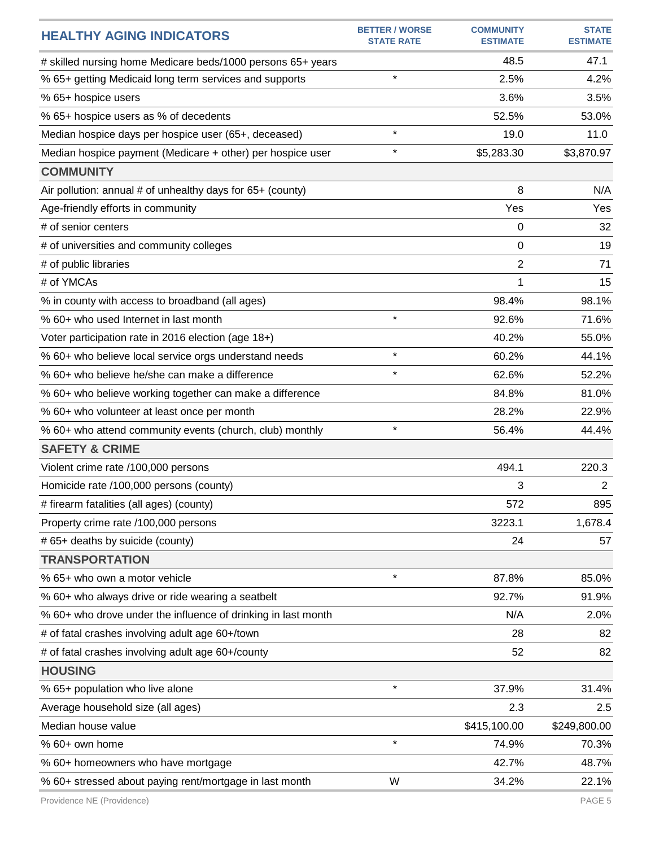| <b>HEALTHY AGING INDICATORS</b>                               | <b>BETTER / WORSE</b><br><b>STATE RATE</b> | <b>COMMUNITY</b><br><b>ESTIMATE</b> | <b>STATE</b><br><b>ESTIMATE</b> |
|---------------------------------------------------------------|--------------------------------------------|-------------------------------------|---------------------------------|
| # skilled nursing home Medicare beds/1000 persons 65+ years   |                                            | 48.5                                | 47.1                            |
| % 65+ getting Medicaid long term services and supports        | $\star$                                    | 2.5%                                | 4.2%                            |
| % 65+ hospice users                                           |                                            | 3.6%                                | 3.5%                            |
| % 65+ hospice users as % of decedents                         |                                            | 52.5%                               | 53.0%                           |
| Median hospice days per hospice user (65+, deceased)          | $\star$                                    | 19.0                                | 11.0                            |
| Median hospice payment (Medicare + other) per hospice user    | $\star$                                    | \$5,283.30                          | \$3,870.97                      |
| <b>COMMUNITY</b>                                              |                                            |                                     |                                 |
| Air pollution: annual # of unhealthy days for 65+ (county)    |                                            | 8                                   | N/A                             |
| Age-friendly efforts in community                             |                                            | Yes                                 | Yes                             |
| # of senior centers                                           |                                            | 0                                   | 32                              |
| # of universities and community colleges                      |                                            | 0                                   | 19                              |
| # of public libraries                                         |                                            | 2                                   | 71                              |
| # of YMCAs                                                    |                                            | 1                                   | 15                              |
| % in county with access to broadband (all ages)               |                                            | 98.4%                               | 98.1%                           |
| % 60+ who used Internet in last month                         | $\star$                                    | 92.6%                               | 71.6%                           |
| Voter participation rate in 2016 election (age 18+)           |                                            | 40.2%                               | 55.0%                           |
| % 60+ who believe local service orgs understand needs         | $\star$                                    | 60.2%                               | 44.1%                           |
| % 60+ who believe he/she can make a difference                | $\star$                                    | 62.6%                               | 52.2%                           |
| % 60+ who believe working together can make a difference      |                                            | 84.8%                               | 81.0%                           |
| % 60+ who volunteer at least once per month                   |                                            | 28.2%                               | 22.9%                           |
| % 60+ who attend community events (church, club) monthly      | $\star$                                    | 56.4%                               | 44.4%                           |
| <b>SAFETY &amp; CRIME</b>                                     |                                            |                                     |                                 |
| Violent crime rate /100,000 persons                           |                                            | 494.1                               | 220.3                           |
| Homicide rate /100,000 persons (county)                       |                                            | 3                                   | $\overline{2}$                  |
| # firearm fatalities (all ages) (county)                      |                                            | 572                                 | 895                             |
| Property crime rate /100,000 persons                          |                                            | 3223.1                              | 1,678.4                         |
| # 65+ deaths by suicide (county)                              |                                            | 24                                  | 57                              |
| <b>TRANSPORTATION</b>                                         |                                            |                                     |                                 |
| % 65+ who own a motor vehicle                                 | $\star$                                    | 87.8%                               | 85.0%                           |
| % 60+ who always drive or ride wearing a seatbelt             |                                            | 92.7%                               | 91.9%                           |
| % 60+ who drove under the influence of drinking in last month |                                            | N/A                                 | 2.0%                            |
| # of fatal crashes involving adult age 60+/town               |                                            | 28                                  | 82                              |
| # of fatal crashes involving adult age 60+/county             |                                            | 52                                  | 82                              |
| <b>HOUSING</b>                                                |                                            |                                     |                                 |
| % 65+ population who live alone                               | $\star$                                    | 37.9%                               | 31.4%                           |
| Average household size (all ages)                             |                                            | 2.3                                 | 2.5                             |
| Median house value                                            |                                            | \$415,100.00                        | \$249,800.00                    |
| % 60+ own home                                                | $\star$                                    | 74.9%                               | 70.3%                           |
| % 60+ homeowners who have mortgage                            |                                            | 42.7%                               | 48.7%                           |
| % 60+ stressed about paying rent/mortgage in last month       | W                                          | 34.2%                               | 22.1%                           |